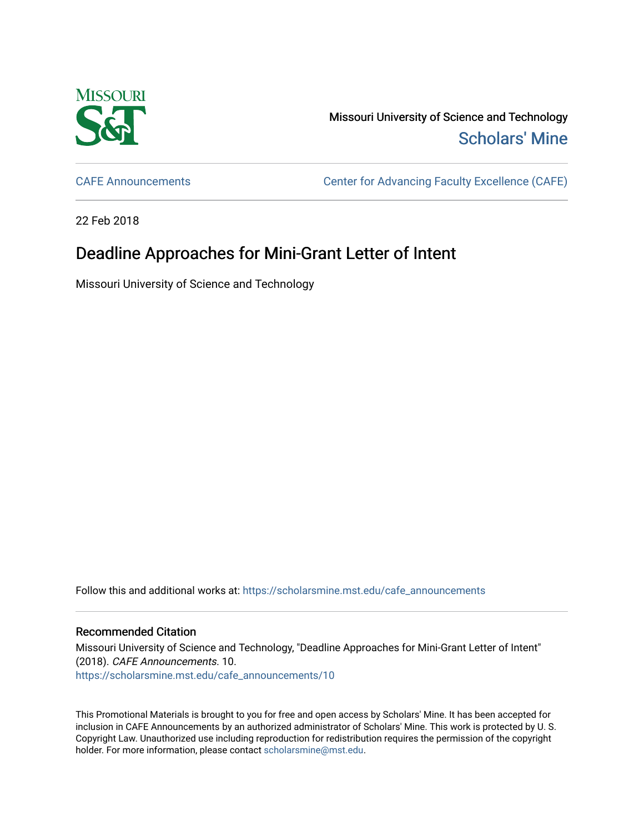

Missouri University of Science and Technology [Scholars' Mine](https://scholarsmine.mst.edu/) 

[CAFE Announcements](https://scholarsmine.mst.edu/cafe_announcements) [Center for Advancing Faculty Excellence \(CAFE\)](https://scholarsmine.mst.edu/cafe) 

22 Feb 2018

## Deadline Approaches for Mini-Grant Letter of Intent

Missouri University of Science and Technology

Follow this and additional works at: [https://scholarsmine.mst.edu/cafe\\_announcements](https://scholarsmine.mst.edu/cafe_announcements?utm_source=scholarsmine.mst.edu%2Fcafe_announcements%2F10&utm_medium=PDF&utm_campaign=PDFCoverPages) 

## Recommended Citation

Missouri University of Science and Technology, "Deadline Approaches for Mini-Grant Letter of Intent" (2018). CAFE Announcements. 10. [https://scholarsmine.mst.edu/cafe\\_announcements/10](https://scholarsmine.mst.edu/cafe_announcements/10?utm_source=scholarsmine.mst.edu%2Fcafe_announcements%2F10&utm_medium=PDF&utm_campaign=PDFCoverPages)

This Promotional Materials is brought to you for free and open access by Scholars' Mine. It has been accepted for inclusion in CAFE Announcements by an authorized administrator of Scholars' Mine. This work is protected by U. S. Copyright Law. Unauthorized use including reproduction for redistribution requires the permission of the copyright holder. For more information, please contact [scholarsmine@mst.edu.](mailto:scholarsmine@mst.edu)